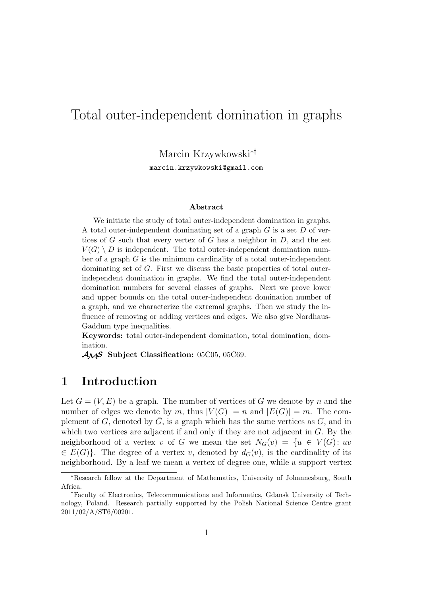# Total outer-independent domination in graphs

Marcin Krzywkowski∗†

marcin.krzywkowski@gmail.com

#### **Abstract**

We initiate the study of total outer-independent domination in graphs. A total outer-independent dominating set of a graph  $G$  is a set  $D$  of vertices of G such that every vertex of G has a neighbor in  $D$ , and the set  $V(G) \setminus D$  is independent. The total outer-independent domination number of a graph  $G$  is the minimum cardinality of a total outer-independent dominating set of G. First we discuss the basic properties of total outerindependent domination in graphs. We find the total outer-independent domination numbers for several classes of graphs. Next we prove lower and upper bounds on the total outer-independent domination number of a graph, and we characterize the extremal graphs. Then we study the influence of removing or adding vertices and edges. We also give Nordhaus-Gaddum type inequalities.

**Keywords:** total outer-independent domination, total domination, domination.

AMS **Subject Classification:** 05C05, 05C69.

## **1 Introduction**

Let  $G = (V, E)$  be a graph. The number of vertices of G we denote by n and the number of edges we denote by m, thus  $|V(G)| = n$  and  $|E(G)| = m$ . The complement of G, denoted by  $\overline{G}$ , is a graph which has the same vertices as G, and in which two vertices are adjacent if and only if they are not adjacent in G. By the neighborhood of a vertex v of G we mean the set  $N_G(v) = \{u \in V(G): uv$  $\in E(G)$ . The degree of a vertex v, denoted by  $d_G(v)$ , is the cardinality of its neighborhood. By a leaf we mean a vertex of degree one, while a support vertex

<sup>∗</sup>Research fellow at the Department of Mathematics, University of Johannesburg, South Africa.

<sup>†</sup>Faculty of Electronics, Telecommunications and Informatics, Gdansk University of Technology, Poland. Research partially supported by the Polish National Science Centre grant 2011/02/A/ST6/00201.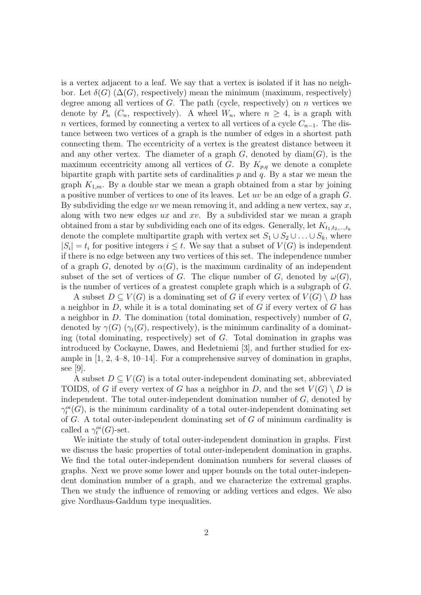is a vertex adjacent to a leaf. We say that a vertex is isolated if it has no neighbor. Let  $\delta(G)$  ( $\Delta(G)$ , respectively) mean the minimum (maximum, respectively) degree among all vertices of  $G$ . The path (cycle, respectively) on  $n$  vertices we denote by  $P_n$  ( $C_n$ , respectively). A wheel  $W_n$ , where  $n \geq 4$ , is a graph with n vertices, formed by connecting a vertex to all vertices of a cycle  $C_{n-1}$ . The distance between two vertices of a graph is the number of edges in a shortest path connecting them. The eccentricity of a vertex is the greatest distance between it and any other vertex. The diameter of a graph  $G$ , denoted by  $diam(G)$ , is the maximum eccentricity among all vertices of G. By  $K_{p,q}$  we denote a complete bipartite graph with partite sets of cardinalities  $p$  and  $q$ . By a star we mean the graph  $K_{1,m}$ . By a double star we mean a graph obtained from a star by joining a positive number of vertices to one of its leaves. Let uv be an edge of a graph G. By subdividing the edge uv we mean removing it, and adding a new vertex, say  $x$ , along with two new edges  $ux$  and  $xv$ . By a subdivided star we mean a graph obtained from a star by subdividing each one of its edges. Generally, let  $K_{t_1,t_2,\dots,t_k}$ denote the complete multipartite graph with vertex set  $S_1 \cup S_2 \cup \ldots \cup S_k$ , where  $|S_i| = t_i$  for positive integers  $i \leq t$ . We say that a subset of  $V(G)$  is independent if there is no edge between any two vertices of this set. The independence number of a graph G, denoted by  $\alpha(G)$ , is the maximum cardinality of an independent subset of the set of vertices of G. The clique number of G, denoted by  $\omega(G)$ , is the number of vertices of a greatest complete graph which is a subgraph of G.

A subset  $D \subseteq V(G)$  is a dominating set of G if every vertex of  $V(G) \setminus D$  has a neighbor in  $D$ , while it is a total dominating set of  $G$  if every vertex of  $G$  has a neighbor in  $D$ . The domination (total domination, respectively) number of  $G$ , denoted by  $\gamma(G)$  ( $\gamma_t(G)$ , respectively), is the minimum cardinality of a dominating (total dominating, respectively) set of  $G$ . Total domination in graphs was introduced by Cockayne, Dawes, and Hedetniemi [3], and further studied for example in [1, 2, 4–8, 10–14]. For a comprehensive survey of domination in graphs, see [9].

A subset  $D \subseteq V(G)$  is a total outer-independent dominating set, abbreviated TOIDS, of G if every vertex of G has a neighbor in D, and the set  $V(G) \setminus D$  is independent. The total outer-independent domination number of  $G$ , denoted by  $\gamma_t^{oi}(G)$ , is the minimum cardinality of a total outer-independent dominating set of  $G$ . A total outer-independent dominating set of  $G$  of minimum cardinality is called a  $\gamma_t^{oi}(G)$ -set.

We initiate the study of total outer-independent domination in graphs. First we discuss the basic properties of total outer-independent domination in graphs. We find the total outer-independent domination numbers for several classes of graphs. Next we prove some lower and upper bounds on the total outer-independent domination number of a graph, and we characterize the extremal graphs. Then we study the influence of removing or adding vertices and edges. We also give Nordhaus-Gaddum type inequalities.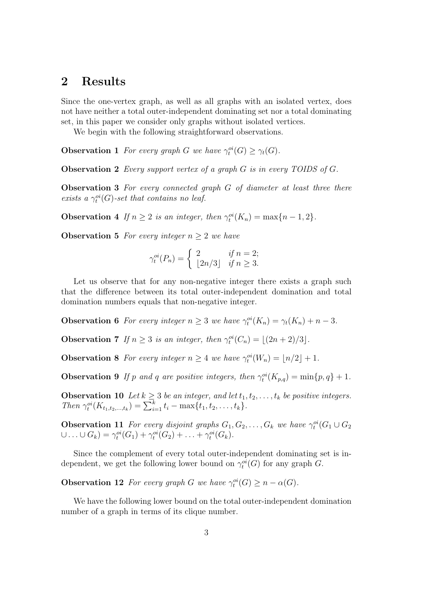#### **2 Results**

Since the one-vertex graph, as well as all graphs with an isolated vertex, does not have neither a total outer-independent dominating set nor a total dominating set, in this paper we consider only graphs without isolated vertices.

We begin with the following straightforward observations.

**Observation 1** *For every graph G we have*  $\gamma_t^{oi}(G) \geq \gamma_t(G)$ *.* 

**Observation 2** *Every support vertex of a graph* G *is in every TOIDS of* G*.*

**Observation 3** *For every connected graph* G *of diameter at least three there* exists a  $\gamma_t^{oi}(G)$ -set that contains no leaf.

**Observation 4** *If*  $n \geq 2$  *is an integer, then*  $\gamma_t^{oi}(K_n) = \max\{n-1, 2\}$ *.* 

**Observation 5** *For every integer*  $n \geq 2$  *we have* 

$$
\gamma_t^{oi}(P_n) = \begin{cases} 2 & \text{if } n = 2; \\ \lfloor 2n/3 \rfloor & \text{if } n \ge 3. \end{cases}
$$

Let us observe that for any non-negative integer there exists a graph such that the difference between its total outer-independent domination and total domination numbers equals that non-negative integer.

**Observation 6** *For every integer*  $n \geq 3$  *we have*  $\gamma_t^{oi}(K_n) = \gamma_t(K_n) + n - 3$ *.* 

**Observation 7** *If*  $n \geq 3$  *is an integer, then*  $\gamma_t^{oi}(C_n) = \lfloor (2n+2)/3 \rfloor$ *.* 

**Observation 8** *For every integer*  $n \geq 4$  *we have*  $\gamma_t^{oi}(W_n) = \lfloor n/2 \rfloor + 1$ *.* 

**Observation 9** If p and q are positive integers, then  $\gamma_t^{oi}(K_{p,q}) = \min\{p,q\} + 1$ .

**Observation 10** *Let*  $k \geq 3$  *be an integer, and let*  $t_1, t_2, \ldots, t_k$  *be positive integers. Then*  $\gamma_t^{oi}(K_{t_1,t_2,\dots,t_k}) = \sum_{i=1}^k t_i - \max\{t_1,t_2,\dots,t_k\}.$ 

**Observation 11** *For every disjoint graphs*  $G_1, G_2, \ldots, G_k$  *we have*  $\gamma_t^{oi}(G_1 \cup G_2)$  $\cup \ldots \cup G_k) = \gamma_t^{oi}(G_1) + \gamma_t^{oi}(G_2) + \ldots + \gamma_t^{oi}(G_k).$ 

Since the complement of every total outer-independent dominating set is independent, we get the following lower bound on  $\gamma_t^{oi}(G)$  for any graph G.

**Observation 12** For every graph G we have  $\gamma_t^{oi}(G) \geq n - \alpha(G)$ .

We have the following lower bound on the total outer-independent domination number of a graph in terms of its clique number.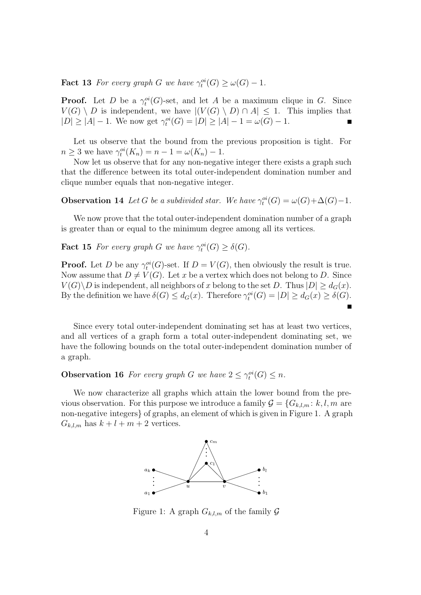**Fact 13** *For every graph G we have*  $\gamma_t^{oi}(G) \ge \omega(G) - 1$ *.* 

**Proof.** Let D be a  $\gamma_t^{oi}(G)$ -set, and let A be a maximum clique in G. Since  $V(G) \setminus D$  is independent, we have  $|(V(G) \setminus D) \cap A| \leq 1$ . This implies that  $|D| \ge |A| - 1$ . We now get  $\gamma_t^{oi}(G) = |D| \ge |A| - 1 = \omega(G) - 1$ . Е

Let us observe that the bound from the previous proposition is tight. For  $n \geq 3$  we have  $\gamma_t^{oi}(K_n) = n - 1 = \omega(K_n) - 1$ .

Now let us observe that for any non-negative integer there exists a graph such that the difference between its total outer-independent domination number and clique number equals that non-negative integer.

**Observation 14** *Let* G *be a subdivided star. We have*  $\gamma_t^{oi}(G) = \omega(G) + \Delta(G) - 1$ *.* 

We now prove that the total outer-independent domination number of a graph is greater than or equal to the minimum degree among all its vertices.

**Fact 15** *For every graph G we have*  $\gamma_t^{oi}(G) \geq \delta(G)$ *.* 

**Proof.** Let D be any  $\gamma_t^{oi}(G)$ -set. If  $D = V(G)$ , then obviously the result is true. Now assume that  $D \neq V(G)$ . Let x be a vertex which does not belong to D. Since  $V(G) \backslash D$  is independent, all neighbors of x belong to the set D. Thus  $|D| \geq d_G(x)$ . By the definition we have  $\delta(G) \leq d_G(x)$ . Therefore  $\gamma_t^{oi}(G) = |D| \geq d_G(x) \geq \delta(G)$ .  $\blacksquare$ 

Since every total outer-independent dominating set has at least two vertices, and all vertices of a graph form a total outer-independent dominating set, we have the following bounds on the total outer-independent domination number of a graph.

**Observation 16** *For every graph G we have*  $2 \leq \gamma_t^{oi}(G) \leq n$ *.* 

We now characterize all graphs which attain the lower bound from the previous observation. For this purpose we introduce a family  $\mathcal{G} = \{G_{k,l,m}: k, l, m \text{ are }$ non-negative integers} of graphs, an element of which is given in Figure 1. A graph  $G_{k,l,m}$  has  $k+l+m+2$  vertices.



Figure 1: A graph  $G_{k,l,m}$  of the family  $\mathcal G$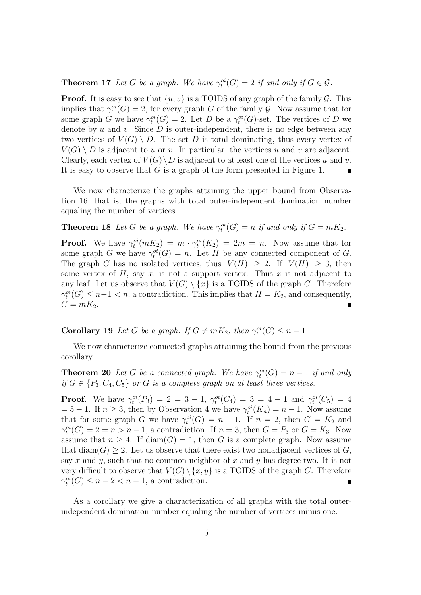#### **Theorem 17** *Let* G *be a graph. We have*  $\gamma_t^{oi}(G) = 2$  *if and only if*  $G \in \mathcal{G}$ *.*

**Proof.** It is easy to see that  $\{u, v\}$  is a TOIDS of any graph of the family  $\mathcal{G}$ . This implies that  $\gamma_t^{oi}(G) = 2$ , for every graph G of the family G. Now assume that for some graph G we have  $\gamma_t^{oi}(G) = 2$ . Let D be a  $\gamma_t^{oi}(G)$ -set. The vertices of D we denote by u and v. Since  $D$  is outer-independent, there is no edge between any two vertices of  $V(G) \setminus D$ . The set D is total dominating, thus every vertex of  $V(G) \setminus D$  is adjacent to u or v. In particular, the vertices u and v are adjacent. Clearly, each vertex of  $V(G) \backslash D$  is adjacent to at least one of the vertices u and v. It is easy to observe that G is a graph of the form presented in Figure 1.  $\blacksquare$ 

We now characterize the graphs attaining the upper bound from Observation 16, that is, the graphs with total outer-independent domination number equaling the number of vertices.

**Theorem 18** *Let* G *be a graph. We have*  $\gamma_t^{oi}(G) = n$  *if and only if*  $G = mK_2$ *.* 

**Proof.** We have  $\gamma_t^{oi}(mK_2) = m \cdot \gamma_t^{oi}(K_2) = 2m = n$ . Now assume that for some graph G we have  $\gamma_t^{oi}(G) = n$ . Let H be any connected component of G. The graph G has no isolated vertices, thus  $|V(H)| \geq 2$ . If  $|V(H)| \geq 3$ , then some vertex of  $H$ , say  $x$ , is not a support vertex. Thus  $x$  is not adjacent to any leaf. Let us observe that  $V(G) \setminus \{x\}$  is a TOIDS of the graph G. Therefore  $\gamma_t^{oi}(G) \leq n-1 < n$ , a contradiction. This implies that  $H = K_2$ , and consequently,  $G = mK_2$ .

**Corollary 19** *Let* G *be a graph.* If  $G \neq mK_2$ , then  $\gamma_t^{oi}(G) \leq n - 1$ .

We now characterize connected graphs attaining the bound from the previous corollary.

**Theorem 20** *Let* G *be a connected graph. We have*  $\gamma_t^{oi}(G) = n - 1$  *if and only if*  $G \in \{P_3, C_4, C_5\}$  *or*  $G$  *is a complete graph on at least three vertices.* 

**Proof.** We have  $\gamma_t^{oi}(P_3) = 2 = 3 - 1$ ,  $\gamma_t^{oi}(C_4) = 3 = 4 - 1$  and  $\gamma_t^{oi}(C_5) = 4$  $= 5 - 1$ . If  $n \geq 3$ , then by Observation 4 we have  $\gamma_t^{oi}(K_n) = n - 1$ . Now assume that for some graph G we have  $\gamma_t^{oi}(G) = n - 1$ . If  $n = 2$ , then  $G = K_2$  and  $\gamma_t^{oi}(G) = 2 = n > n - 1$ , a contradiction. If  $n = 3$ , then  $G = P_3$  or  $G = K_3$ . Now assume that  $n \geq 4$ . If  $\text{diam}(G) = 1$ , then G is a complete graph. Now assume that  $\text{diam}(G) \geq 2$ . Let us observe that there exist two nonadjacent vertices of G, say x and y, such that no common neighbor of x and y has degree two. It is not very difficult to observe that  $V(G) \setminus \{x, y\}$  is a TOIDS of the graph G. Therefore  $\gamma_t^{oi}(G) \leq n-2 < n-1$ , a contradiction.

As a corollary we give a characterization of all graphs with the total outerindependent domination number equaling the number of vertices minus one.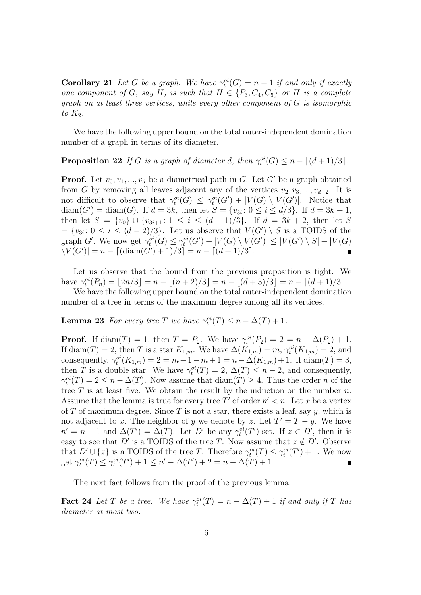**Corollary 21** *Let* G *be a graph.* We have  $\gamma_t^{oi}(G) = n - 1$  *if and only if exactly one component of* G, say H, is such that  $H \in \{P_3, C_4, C_5\}$  or H is a complete *graph on at least three vertices, while every other component of* G *is isomorphic*  $to$   $K_2$ *.* 

We have the following upper bound on the total outer-independent domination number of a graph in terms of its diameter.

**Proposition 22** *If* G *is a graph of diameter* d, then  $\gamma_t^{oi}(G) \leq n - \lfloor (d+1)/3 \rfloor$ *.* 

**Proof.** Let  $v_0, v_1, ..., v_d$  be a diametrical path in G. Let G' be a graph obtained from G by removing all leaves adjacent any of the vertices  $v_2, v_3, ..., v_{d-2}$ . It is not difficult to observe that  $\gamma_t^{oi}(G) \leq \gamma_t^{oi}(G') + |V(G) \setminus V(G')|$ . Notice that diam(G') = diam(G). If  $d = 3k$ , then let  $S = \{v_{3i} : 0 \le i \le d/3\}$ . If  $d = 3k + 1$ , then let  $S = \{v_0\} \cup \{v_{3i+1} : 1 \leq i \leq (d-1)/3\}$ . If  $d = 3k + 2$ , then let S  $=\{v_{3i}: 0 \leq i \leq (d-2)/3\}.$  Let us observe that  $V(G') \setminus S$  is a TOIDS of the graph G'. We now get  $\gamma_t^{oi}(G) \leq \gamma_t^{oi}(G') + |V(G) \setminus V(G')| \leq |V(G') \setminus S| + |V(G)$  $\vert V(G') \vert = n - \left[ (\text{diam}(G') + 1)/3 \right] = n - \left[ (d+1)/3 \right].$  $\blacksquare$ 

Let us observe that the bound from the previous proposition is tight. We have  $\gamma_t^{oi}(P_n) = \lfloor 2n/3 \rfloor = n - \lfloor (n+2)/3 \rfloor = n - \lfloor (d+3)/3 \rfloor = n - \lceil (d+1)/3 \rceil$ .

We have the following upper bound on the total outer-independent domination number of a tree in terms of the maximum degree among all its vertices.

**Lemma 23** *For every tree T we have*  $\gamma_t^{oi}(T) \leq n - \Delta(T) + 1$ *.* 

**Proof.** If diam(T) = 1, then  $T = P_2$ . We have  $\gamma_t^{oi}(P_2) = 2 = n - \Delta(P_2) + 1$ . If  $\text{diam}(T) = 2$ , then T is a star  $K_{1,m}$ . We have  $\Delta(K_{1,m}) = m$ ,  $\gamma_t^{oi}(K_{1,m}) = 2$ , and consequently,  $\gamma_t^{oi}(K_{1,m}) = 2 = m + 1 - m + 1 = n - \Delta(K_{1,m}) + 1$ . If  $\text{diam}(T) = 3$ , then T is a double star. We have  $\gamma_t^{oi}(T) = 2$ ,  $\Delta(T) \leq n-2$ , and consequently,  $\gamma_t^{oi}(T) = 2 \leq n - \Delta(T)$ . Now assume that  $\text{diam}(T) \geq 4$ . Thus the order *n* of the tree  $T$  is at least five. We obtain the result by the induction on the number  $n$ . Assume that the lemma is true for every tree T' of order  $n' < n$ . Let x be a vertex of T of maximum degree. Since T is not a star, there exists a leaf, say  $y$ , which is not adjacent to x. The neighbor of y we denote by z. Let  $T' = T - y$ . We have  $n' = n - 1$  and  $\Delta(T') = \Delta(T)$ . Let D' be any  $\gamma_t^{oi}(T')$ -set. If  $z \in D'$ , then it is easy to see that D' is a TOIDS of the tree T. Now assume that  $z \notin D'$ . Observe that  $D' \cup \{z\}$  is a TOIDS of the tree T. Therefore  $\gamma_t^{oi}(T) \leq \gamma_t^{oi}(T') + 1$ . We now get  $\gamma_t^{oi}(T) \leq \gamma_t^{oi}(T') + 1 \leq n' - \Delta(T') + 2 = n - \Delta(T) + 1.$ 

The next fact follows from the proof of the previous lemma.

**Fact 24** *Let* T *be a tree.* We have  $\gamma_t^{oi}(T) = n - \Delta(T) + 1$  *if and only if* T *has diameter at most two.*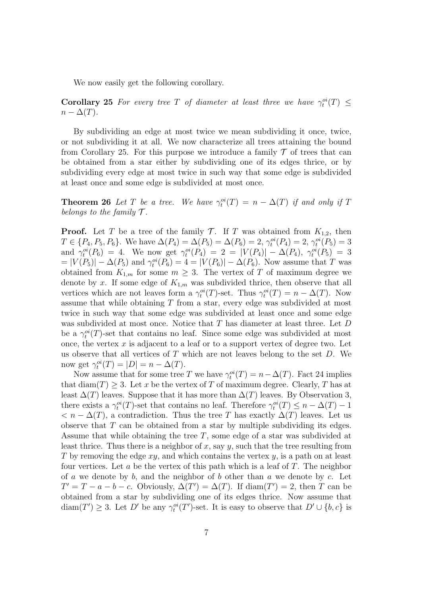We now easily get the following corollary.

**Corollary 25** For every tree T of diameter at least three we have  $\gamma_t^{oi}(T) \leq$  $n - \Delta(T)$ .

By subdividing an edge at most twice we mean subdividing it once, twice, or not subdividing it at all. We now characterize all trees attaining the bound from Corollary 25. For this purpose we introduce a family  $\mathcal T$  of trees that can be obtained from a star either by subdividing one of its edges thrice, or by subdividing every edge at most twice in such way that some edge is subdivided at least once and some edge is subdivided at most once.

**Theorem 26** Let T be a tree. We have  $\gamma_t^{oi}(T) = n - \Delta(T)$  if and only if T *belongs to the family*  $\mathcal{T}$ *.* 

**Proof.** Let T be a tree of the family T. If T was obtained from  $K_{1,2}$ , then  $T \in \{P_4, P_5, P_6\}$ . We have  $\Delta(P_4) = \Delta(P_5) = \Delta(P_6) = 2$ ,  $\gamma_t^{oi}(P_4) = 2$ ,  $\gamma_t^{oi}(P_5) = 3$ and  $\gamma_t^{oi}(P_6) = 4$ . We now get  $\gamma_t^{oi}(P_4) = 2 = |V(P_4)| - \Delta(P_4)$ ,  $\gamma_t^{oi}(P_5) = 3$  $= |V(P_5)| - \Delta(P_5)$  and  $\gamma_t^{oi}(P_6) = 4 = |V(P_6)| - \Delta(P_6)$ . Now assume that T was obtained from  $K_{1,m}$  for some  $m \geq 3$ . The vertex of T of maximum degree we denote by x. If some edge of  $K_{1,m}$  was subdivided thrice, then observe that all vertices which are not leaves form a  $\gamma_t^{oi}(T)$ -set. Thus  $\gamma_t^{oi}(T) = n - \Delta(T)$ . Now assume that while obtaining T from a star, every edge was subdivided at most twice in such way that some edge was subdivided at least once and some edge was subdivided at most once. Notice that T has diameter at least three. Let D be a  $\gamma_t^{oi}(T)$ -set that contains no leaf. Since some edge was subdivided at most once, the vertex  $x$  is adjacent to a leaf or to a support vertex of degree two. Let us observe that all vertices of  $T$  which are not leaves belong to the set  $D$ . We now get  $\gamma_t^{oi}(T) = |D| = n - \Delta(T)$ .

Now assume that for some tree T we have  $\gamma_t^{oi}(T) = n - \Delta(T)$ . Fact 24 implies that diam(T) > 3. Let x be the vertex of T of maximum degree. Clearly, T has at least  $\Delta(T)$  leaves. Suppose that it has more than  $\Delta(T)$  leaves. By Observation 3, there exists a  $\gamma_t^{oi}(T)$ -set that contains no leaf. Therefore  $\gamma_t^{oi}(T) \leq n - \Delta(T) - 1$  $\langle n - \Delta(T) \rangle$ , a contradiction. Thus the tree T has exactly  $\Delta(T)$  leaves. Let us observe that  $T$  can be obtained from a star by multiple subdividing its edges. Assume that while obtaining the tree T, some edge of a star was subdivided at least thrice. Thus there is a neighbor of x, say y, such that the tree resulting from T by removing the edge  $xy$ , and which contains the vertex y, is a path on at least four vertices. Let  $a$  be the vertex of this path which is a leaf of  $T$ . The neighbor of a we denote by b, and the neighbor of b other than a we denote by c. Let  $T' = T - a - b - c$ . Obviously,  $\Delta(T') = \Delta(T)$ . If  $\text{diam}(T') = 2$ , then T can be obtained from a star by subdividing one of its edges thrice. Now assume that  $\text{diam}(T') \geq 3$ . Let D' be any  $\gamma_t^{oi}(T')$ -set. It is easy to observe that  $D' \cup \{b, c\}$  is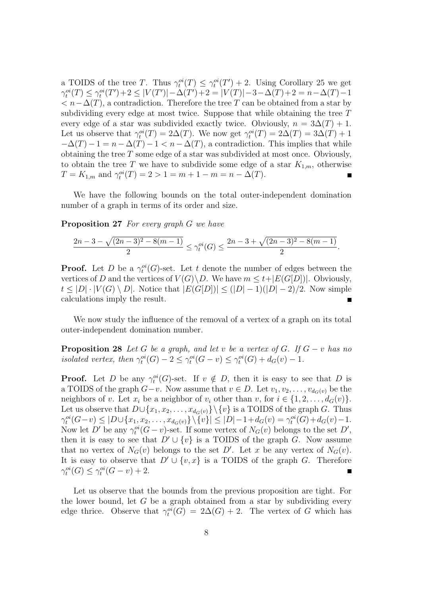a TOIDS of the tree T. Thus  $\gamma_t^{oi}(T) \leq \gamma_t^{oi}(T') + 2$ . Using Corollary 25 we get  $\gamma_t^{oi}(T) \leq \gamma_t^{oi}(T') + 2 \leq |V(T')| - \Delta(T') + 2 = |V(T)| - 3 - \Delta(T) + 2 = n - \Delta(T) - 1$  $\langle n-\Delta(T),\alpha\rangle$  contradiction. Therefore the tree T can be obtained from a star by subdividing every edge at most twice. Suppose that while obtaining the tree T every edge of a star was subdivided exactly twice. Obviously,  $n = 3\Delta(T) + 1$ . Let us observe that  $\gamma_t^{oi}(T) = 2\Delta(T)$ . We now get  $\gamma_t^{oi}(T) = 2\Delta(T) = 3\Delta(T) + 1$  $-\Delta(T) - 1 = n - \Delta(T) - 1 < n - \Delta(T)$ , a contradiction. This implies that while obtaining the tree T some edge of a star was subdivided at most once. Obviously, to obtain the tree T we have to subdivide some edge of a star  $K_{1,m}$ , otherwise  $T = K_{1,m}$  and  $\gamma_t^{oi}(T) = 2 > 1 = m + 1 - m = n - \Delta(T)$ . П

We have the following bounds on the total outer-independent domination number of a graph in terms of its order and size.

**Proposition 27** *For every graph* G *we have*

$$
\frac{2n-3-\sqrt{(2n-3)^2-8(m-1)}}{2} \le \gamma_t^{oi}(G) \le \frac{2n-3+\sqrt{(2n-3)^2-8(m-1)}}{2}
$$

*.*

**Proof.** Let D be a  $\gamma_t^{oi}(G)$ -set. Let t denote the number of edges between the vertices of D and the vertices of  $V(G) \backslash D$ . We have  $m \leq t + |E(G[D])|$ . Obviously,  $t \leq |D| \cdot |V(G) \setminus D|$ . Notice that  $|E(G[D])| \leq (|D|-1)(|D|-2)/2$ . Now simple calculations imply the result.

We now study the influence of the removal of a vertex of a graph on its total outer-independent domination number.

**Proposition 28** *Let* G *be a graph, and let* v *be a vertex of* G*. If* G − v *has no* isolated vertex, then  $\gamma_t^{oi}(G) - 2 \leq \gamma_t^{oi}(G - v) \leq \gamma_t^{oi}(G) + d_G(v) - 1$ .

**Proof.** Let D be any  $\gamma_t^{oi}(G)$ -set. If  $v \notin D$ , then it is easy to see that D is a TOIDS of the graph  $G-v$ . Now assume that  $v \in D$ . Let  $v_1, v_2, \ldots, v_{d_G(v)}$  be the neighbors of v. Let  $x_i$  be a neighbor of  $v_i$  other than v, for  $i \in \{1, 2, ..., d_G(v)\}\$ . Let us observe that  $D \cup \{x_1, x_2, \ldots, x_{d_G(v)}\} \backslash \{v\}$  is a TOIDS of the graph G. Thus  $\gamma_t^{oi}(G-v) \le |D \cup \{x_1, x_2, \dots, x_{d_G(v)}\} \setminus \{v\}| \le |D|-1+d_G(v) = \gamma_t^{oi}(G)+d_G(v)-1.$ Now let D' be any  $\gamma_t^{oi}(G-v)$ -set. If some vertex of  $N_G(v)$  belongs to the set D', then it is easy to see that  $D' \cup \{v\}$  is a TOIDS of the graph G. Now assume that no vertex of  $N_G(v)$  belongs to the set D'. Let x be any vertex of  $N_G(v)$ . It is easy to observe that  $D' \cup \{v, x\}$  is a TOIDS of the graph G. Therefore  $\gamma_t^{oi}(G) \leq \gamma_t^{oi}(G - v) + 2.$ г

Let us observe that the bounds from the previous proposition are tight. For the lower bound, let  $G$  be a graph obtained from a star by subdividing every edge thrice. Observe that  $\gamma_t^{oi}(G) = 2\Delta(G) + 2$ . The vertex of G which has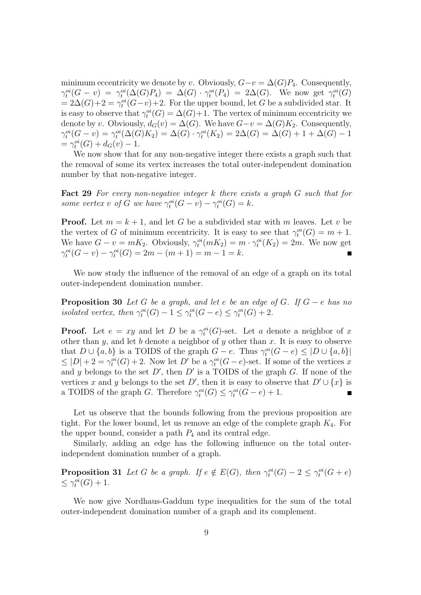minimum eccentricity we denote by v. Obviously,  $G-v = \Delta(G)P_4$ . Consequently,  $\gamma_t^{oi}(G-v) = \gamma_t^{oi}(\Delta(G)P_4) = \Delta(G) \cdot \gamma_t^{oi}(P_4) = 2\Delta(G)$ . We now get  $\gamma_t^{oi}(G)$  $= 2\Delta(G) + 2 = \gamma_t^{oi}(G - v) + 2$ . For the upper bound, let G be a subdivided star. It is easy to observe that  $\gamma_t^{oi}(G) = \Delta(G) + 1$ . The vertex of minimum eccentricity we denote by v. Obviously,  $d_G(v) = \Delta(G)$ . We have  $G-v = \Delta(G)K_2$ . Consequently,  $\gamma_t^{oi}(G - v) = \gamma_t^{oi}(\Delta(G)K_2) = \Delta(G) \cdot \gamma_t^{oi}(K_2) = 2\Delta(G) = \Delta(G) + 1 + \Delta(G) - 1$  $= \gamma_t^{oi}(G) + d_G(v) - 1.$ 

We now show that for any non-negative integer there exists a graph such that the removal of some its vertex increases the total outer-independent domination number by that non-negative integer.

**Fact 29** *For every non-negative integer* k *there exists a graph* G *such that for some vertex v* of *G* we have  $\gamma_t^{oi}(G - v) - \gamma_t^{oi}(G) = k$ .

**Proof.** Let  $m = k + 1$ , and let G be a subdivided star with m leaves. Let v be the vertex of G of minimum eccentricity. It is easy to see that  $\gamma_t^{oi}(G) = m + 1$ . We have  $G - v = mK_2$ . Obviously,  $\gamma_t^{oi}(mK_2) = m \cdot \gamma_t^{oi}(K_2) = 2m$ . We now get  $\gamma_t^{oi}(G - v) - \gamma_t^{oi}(G) = 2m - (m + 1) = m - 1 = k.$  $\blacksquare$ 

We now study the influence of the removal of an edge of a graph on its total outer-independent domination number.

**Proposition 30** *Let* G *be a graph, and let* e *be an edge of* G*. If* G − e *has no* isolated vertex, then  $\gamma_t^{oi}(G) - 1 \leq \gamma_t^{oi}(G - e) \leq \gamma_t^{oi}(G) + 2$ .

**Proof.** Let  $e = xy$  and let D be a  $\gamma_t^{oi}(G)$ -set. Let a denote a neighbor of x other than  $y$ , and let  $b$  denote a neighbor of  $y$  other than  $x$ . It is easy to observe that  $D \cup \{a, b\}$  is a TOIDS of the graph  $G - e$ . Thus  $\gamma_t^{oi}(G - e) \leq |D \cup \{a, b\}|$  $\leq |D| + 2 = \gamma_t^{oi}(G) + 2$ . Now let D' be a  $\gamma_t^{oi}(G - e)$ -set. If some of the vertices x and y belongs to the set  $D'$ , then  $D'$  is a TOIDS of the graph G. If none of the vertices x and y belongs to the set D', then it is easy to observe that  $D' \cup \{x\}$  is a TOIDS of the graph G. Therefore  $\gamma_t^{oi}(G) \leq \gamma_t^{oi}(G - e) + 1$ .  $\blacksquare$ 

Let us observe that the bounds following from the previous proposition are tight. For the lower bound, let us remove an edge of the complete graph  $K_4$ . For the upper bound, consider a path  $P_4$  and its central edge.

Similarly, adding an edge has the following influence on the total outerindependent domination number of a graph.

**Proposition 31** *Let* G *be a graph.* If  $e \notin E(G)$ *, then*  $\gamma_t^{oi}(G) - 2 \leq \gamma_t^{oi}(G + e)$  $\leq \gamma_t^{oi}(G) + 1.$ 

We now give Nordhaus-Gaddum type inequalities for the sum of the total outer-independent domination number of a graph and its complement.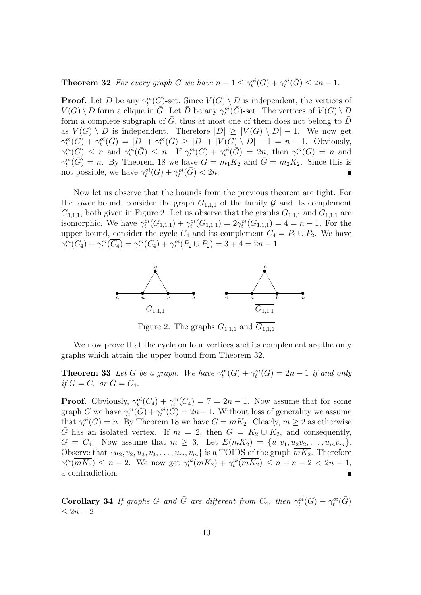**Theorem 32** *For every graph G we have*  $n - 1 \leq \gamma_t^{oi}(G) + \gamma_t^{oi}(\bar{G}) \leq 2n - 1$ *.* 

**Proof.** Let D be any  $\gamma_t^{oi}(G)$ -set. Since  $V(G) \setminus D$  is independent, the vertices of  $V(G) \setminus D$  form a clique in  $\overline{G}$ . Let  $\overline{D}$  be any  $\gamma_t^{oi}(\overline{G})$ -set. The vertices of  $V(G) \setminus D$ form a complete subgraph of G, thus at most one of them does not belong to  $D$ as  $V(\bar{G}) \setminus \bar{D}$  is independent. Therefore  $|\bar{D}| \geq |V(G) \setminus D| - 1$ . We now get  $\gamma_t^{oi}(G) + \gamma_t^{oi}(\bar{G}) = |D| + \gamma_t^{oi}(\bar{G}) \geq |D| + |V(G) \setminus D| - 1 = n - 1$ . Obviously,  $\gamma_t^{oi}(G) \leq n$  and  $\gamma_t^{oi}(\bar{G}) \leq n$ . If  $\gamma_t^{oi}(G) + \gamma_t^{oi}(\bar{G}) = 2n$ , then  $\gamma_t^{oi}(G) = n$  and  $\gamma_t^{oi}(\bar{G}) = n$ . By Theorem 18 we have  $G = m_1K_2$  and  $\bar{G} = m_2K_2$ . Since this is not possible, we have  $\gamma_t^{oi}(G) + \gamma_t^{oi}(\bar{G}) < 2n$ .  $\blacksquare$ 

Now let us observe that the bounds from the previous theorem are tight. For the lower bound, consider the graph  $G_{1,1,1}$  of the family  $\mathcal G$  and its complement  $\overline{G_{1,1,1}}$ , both given in Figure 2. Let us observe that the graphs  $G_{1,1,1}$  and  $\overline{G_{1,1,1}}$  are isomorphic. We have  $\gamma_t^{oi}(G_{1,1,1}) + \gamma_t^{oi}(\overline{G_{1,1,1}}) = 2\gamma_t^{oi}(G_{1,1,1}) = 4 = n - 1$ . For the upper bound, consider the cycle  $C_4$  and its complement  $\overline{C_4} = P_2 \cup P_2$ . We have  $\gamma_t^{oi}(C_4) + \gamma_t^{oi}(\overline{C_4}) = \gamma_t^{oi}(C_4) + \gamma_t^{oi}(P_2 \cup P_2) = 3 + 4 = 2n - 1.$ 



Figure 2: The graphs  $G_{1,1,1}$  and  $G_{1,1,1}$ 

We now prove that the cycle on four vertices and its complement are the only graphs which attain the upper bound from Theorem 32.

**Theorem 33** *Let* G *be a graph.* We have  $\gamma_t^{oi}(G) + \gamma_t^{oi}(\bar{G}) = 2n - 1$  if and only *if*  $G = C_4$  *or*  $\bar{G} = C_4$ *.* 

**Proof.** Obviously,  $\gamma_t^{oi}(C_4) + \gamma_t^{oi}(\bar{C}_4) = 7 = 2n - 1$ . Now assume that for some graph G we have  $\gamma_t^{oi}(G) + \gamma_t^{oi}(\tilde{G}) = 2n - 1$ . Without loss of generality we assume that  $\gamma_t^{oi}(G) = n$ . By Theorem 18 we have  $G = mK_2$ . Clearly,  $m \geq 2$  as otherwise  $\overline{G}$  has an isolated vertex. If  $m = 2$ , then  $G = K_2 \cup K_2$ , and consequently,  $\bar{G} = C_4$ . Now assume that  $m \geq 3$ . Let  $E(mK_2) = \{u_1v_1, u_2v_2, \ldots, u_mv_m\}.$ Observe that  $\{u_2, v_2, u_3, v_3, \ldots, u_m, v_m\}$  is a TOIDS of the graph  $\overline{mK_2}$ . Therefore  $\gamma_t^{oi}(\overline{mK_2}) \leq n-2$ . We now get  $\gamma_t^{oi}(mK_2) + \gamma_t^{oi}(\overline{mK_2}) \leq n+n-2 < 2n-1$ , a contradiction.  $\blacksquare$ 

**Corollary 34** *If graphs* G and  $\overline{G}$  are different from  $C_4$ , then  $\gamma_t^{oi}(G) + \gamma_t^{oi}(\overline{G})$  $< 2n - 2.$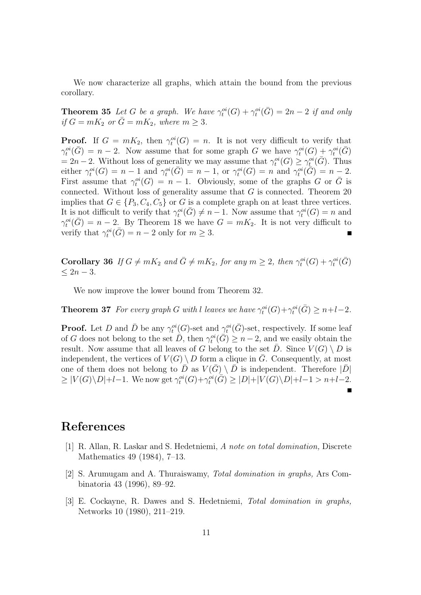We now characterize all graphs, which attain the bound from the previous corollary.

**Theorem 35** *Let* G *be a graph.* We have  $\gamma_t^{oi}(G) + \gamma_t^{oi}(\bar{G}) = 2n - 2$  if and only *if*  $G = mK_2$  *or*  $\overline{G} = mK_2$ *, where*  $m \geq 3$ *.* 

**Proof.** If  $G = mK_2$ , then  $\gamma_t^{oi}(G) = n$ . It is not very difficult to verify that  $\gamma_t^{oi}(\bar{G}) = n-2$ . Now assume that for some graph G we have  $\gamma_t^{oi}(G) + \gamma_t^{oi}(\bar{G})$  $= 2n-2$ . Without loss of generality we may assume that  $\gamma_t^{oi}(G) \geq \gamma_t^{oi}(\bar{G})$ . Thus either  $\gamma_t^{oi}(G) = n - 1$  and  $\gamma_t^{oi}(\bar{G}) = n - 1$ , or  $\gamma_t^{oi}(G) = n$  and  $\gamma_t^{oi}(\bar{G}) = n - 2$ . First assume that  $\gamma_t^{oi}(G) = n - 1$ . Obviously, some of the graphs G or G is connected. Without loss of generality assume that  $G$  is connected. Theorem 20 implies that  $G \in \{P_3, C_4, C_5\}$  or G is a complete graph on at least three vertices. It is not difficult to verify that  $\gamma_t^{oi}(\bar{G}) \neq n-1$ . Now assume that  $\gamma_t^{oi}(G) = n$  and  $\gamma_t^{oi}(\bar{G}) = n - 2$ . By Theorem 18 we have  $G = mK_2$ . It is not very difficult to verify that  $\gamma_t^{oi}(\bar{G}) = n - 2$  only for  $m \geq 3$ . П

**Corollary 36** *If*  $G \neq mK_2$  *and*  $\bar{G} \neq mK_2$ *, for any*  $m \geq 2$ *, then*  $\gamma_t^{oi}(G) + \gamma_t^{oi}(\bar{G})$ ≤ 2n − 3*.*

We now improve the lower bound from Theorem 32.

**Theorem 37** *For every graph* G with l leaves we have  $\gamma_t^{oi}(G) + \gamma_t^{oi}(\bar{G}) \geq n+l-2$ .

**Proof.** Let D and  $\bar{D}$  be any  $\gamma_t^{oi}(G)$ -set and  $\gamma_t^{oi}(\bar{G})$ -set, respectively. If some leaf of G does not belong to the set  $\tilde{D}$ , then  $\gamma_t^{oi}(\tilde{G}) \geq n-2$ , and we easily obtain the result. Now assume that all leaves of G belong to the set  $\overline{D}$ . Since  $V(G) \setminus D$  is independent, the vertices of  $V(G) \setminus D$  form a clique in G. Consequently, at most one of them does not belong to  $\bar{D}$  as  $V(\bar{G}) \setminus \bar{D}$  is independent. Therefore  $|\bar{D}|$  $\geq |V(G)\setminus D|+l-1$ . We now get  $\gamma_t^{oi}(G)+\gamma_t^{oi}(\overline{G})\geq |D|+|V(G)\setminus D|+l-1 > n+l-2$ .

### **References**

- [1] R. Allan, R. Laskar and S. Hedetniemi, *A note on total domination,* Discrete Mathematics 49 (1984), 7–13.
- [2] S. Arumugam and A. Thuraiswamy, *Total domination in graphs,* Ars Combinatoria 43 (1996), 89–92.
- [3] E. Cockayne, R. Dawes and S. Hedetniemi, *Total domination in graphs,* Networks 10 (1980), 211–219.